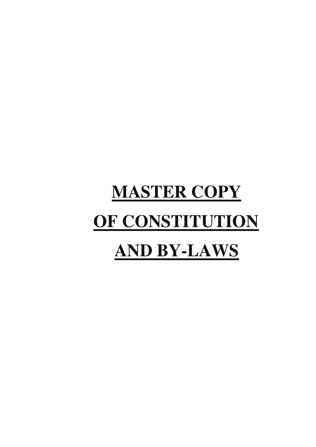# **MASTER COPY OF CONSTITUTION AND BY-LAWS**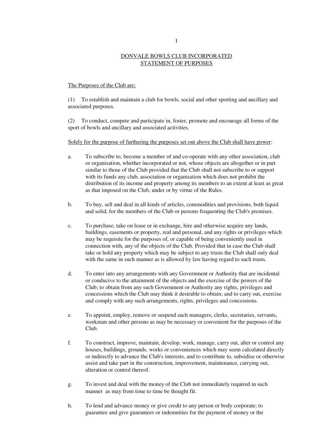## DONVALE BOWLS CLUB INCORPORATED STATEMENT OF PURPOSES

## The Purposes of the Club are:

(1) To establish and maintain a club for bowls, social and other sporting and ancillary and associated purposes.

(2) To conduct, compete and participate in, foster, promote and encourage all forms of the sport of bowls and ancillary and associated activities.

#### Solely for the purpose of furthering the purposes set out above the Club shall have power:

- a. To subscribe to, become a member of and co-operate with any other association, club or organisation, whether incorporated or not, whose objects are altogether or in part similar to those of the Club provided that the Club shall not subscribe to or support with its funds any club, association or organisation which does not prohibit the distribution of its income and property among its members to an extent at least as great as that imposed on the Club, under or by virtue of the Rules.
- b. To buy, sell and deal in all kinds of articles, commodities and provisions, both liquid and solid, for the members of the Club or persons frequenting the Club's premises.
- c. To purchase, take on lease or in exchange, hire and otherwise acquire any lands, buildings, easements or property, real and personal, and any rights or privileges which may be requisite for the purposes of, or capable of being conveniently used in connection with, any of the objects of the Club. Provided that in case the Club shall take or hold any property which may be subject to any trusts the Club shall only deal with the same in such manner as is allowed by law having regard to such trusts.
- d. To enter into any arrangements with any Government or Authority that are incidental or conducive to the attainment of the objects and the exercise of the powers of the Club; to obtain from any such Government or Authority any rights, privileges and concessions which the Club may think it desirable to obtain; and to carry out, exercise and comply with any such arrangements, rights, privileges and concessions.
- e. To appoint, employ, remove or suspend such managers, clerks, secretaries, servants, workman and other persons as may be necessary or convenient for the purposes of the Club.
- f. To construct, improve, maintain, develop, work, manage, carry out, alter or control any houses, buildings, grounds, works or conveniences which may seem calculated directly or indirectly to advance the Club's interests, and to contribute to, subsidise or otherwise assist and take part in the construction, improvement, maintenance, carrying out, alteration or control thereof.
- g. To invest and deal with the money of the Club not immediately required in such manner as may from time to time be thought fit.
- h. To lend and advance money or give credit to any person or body corporate; to guarantee and give guarantees or indemnities for the payment of money or the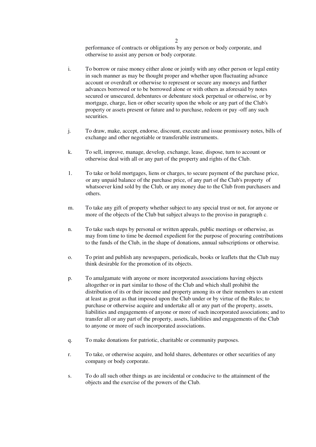performance of contracts or obligations by any person or body corporate, and otherwise to assist any person or body corporate.

- i. To borrow or raise money either alone or jointly with any other person or legal entity in such manner as may be thought proper and whether upon fluctuating advance account or overdraft or otherwise to represent or secure any moneys and further advances borrowed or to be borrowed alone or with others as aforesaid by notes secured or unsecured, debentures or debenture stock perpetual or otherwise, or by mortgage, charge, lien or other security upon the whole or any part of the Club's property or assets present or future and to purchase, redeem or pay -off any such securities.
- j. To draw, make, accept, endorse, discount, execute and issue promissory notes, bills of exchange and other negotiable or transferable instruments.
- k. To sell, improve, manage, develop, exchange, lease, dispose, turn to account or otherwise deal with all or any part of the property and rights of the Club.
- 1. To take or hold mortgages, liens or charges, to secure payment of the purchase price, or any unpaid balance of the purchase price, of any part of the Club's property of whatsoever kind sold by the Club, or any money due to the Club from purchasers and others.
- m. To take any gift of property whether subject to any special trust or not, for anyone or more of the objects of the Club but subject always to the proviso in paragraph c.
- n. To take such steps by personal or written appeals, public meetings or otherwise, as may from time to time be deemed expedient for the purpose of procuring contributions to the funds of the Club, in the shape of donations, annual subscriptions or otherwise.
- o. To print and publish any newspapers, periodicals, books or leaflets that the Club may think desirable for the promotion of its objects.
- p. To amalgamate with anyone or more incorporated associations having objects altogether or in part similar to those of the Club and which shall prohibit the distribution of its or their income and property among its or their members to an extent at least as great as that imposed upon the Club under or by virtue of the Rules; to purchase or otherwise acquire and undertake all or any part of the property, assets, liabilities and engagements of anyone or more of such incorporated associations; and to transfer all or any part of the property, assets, liabilities and engagements of the Club to anyone or more of such incorporated associations.
- q. To make donations for patriotic, charitable or community purposes.
- r. To take, or otherwise acquire, and hold shares, debentures or other securities of any company or body corporate.
- s. To do all such other things as are incidental or conducive to the attainment of the objects and the exercise of the powers of the Club.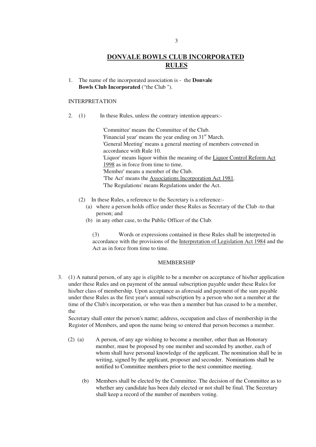# **DONVALE BOWLS CLUB INCORPORATED RULES**

1. The name of the incorporated association is - the **Donvale Bowls Club Incorporated** ("the Club ").

#### INTERPRETATION

2. (1) In these Rules, unless the contrary intention appears:-

'Committee' means the Committee of the Club. 'Financial year' means the year ending on 31<sup>st</sup> March. 'General Meeting' means a general meeting of members convened in accordance with Rule 10. 'Liquor' means liquor within the meaning of the Liquor Control Reform Act 1998 as in force from time to time. 'Member' means a member of the Club. 'The Act' means the Associations Incorporation Act 1981. 'The Regulations' means Regulations under the Act.

- (2) In these Rules, a reference to the Secretary is a reference:-
	- (a) where a person holds office under these Rules as Secretary of the Club -to that person; and
	- (b) in any other case, to the Public Officer of the Club.

 (3) Words or expressions contained in these Rules shall be interpreted in accordance with the provisions of the Interpretation of Legislation Act 1984 and the Act as in force from time to time.

#### MEMBERSHIP

3. (1) A natural person, of any age is eligible to be a member on acceptance of his/her application under these Rules and on payment of the annual subscription payable under these Rules for his/her class of membership. Upon acceptance as aforesaid and payment of the sum payable under these Rules as the first year's annual subscription by a person who not a member at the time of the Club's incorporation, or who was then a member but has ceased to be a member, the

Secretary shall enter the person's name; address, occupation and class of membership in the Register of Members, and upon the name being so entered that person becomes a member.

- (2) (a) A person, of any age wishing to become a-member, other than an Honorary member, must be proposed by one member and seconded by another, each of whom shall have personal knowledge of the applicant. The nomination shall be in writing, signed by the applicant, proposer and seconder. Nominations shall be notified to Committee members prior to the next committee meeting.
	- (b) Members shall be elected by the Committee. The decision of the Committee as to whether any candidate has been duly elected or not shall be final. The Secretary shall keep a record of the number of members voting.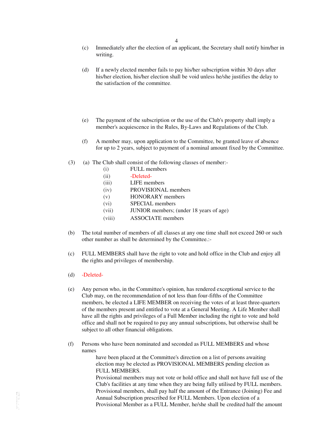- (c) Immediately after the election of an applicant, the Secretary shall notify him/her in writing.
- (d) If a newly elected member fails to pay his/her subscription within 30 days after his/her election, his/her election shall be void unless he/she justifies the delay to the satisfaction of the committee.
- (e) The payment of the subscription or the use of the Club's property shall imply a member's acquiescence in the Rules, By-Laws and Regulations of the Club.
- (f) A member may, upon application to the Committee, be granted leave of absence for up to 2 years, subject to payment of a nominal amount fixed by the Committee.
- (3) (a) The Club shall consist of the following classes of member:-
	- (i) FULL members
	- (ii) -Deleted-
	- (iii) LIFE members
	- (iv) PROVISIONAL members
	- (v) HONORARY members
	- (vi) SPECIAL members
	- (vii) JUNIOR members; (under 18 years of age)
	- (viii) ASSOCIATE members
- (b) The total number of members of all classes at any one time shall not exceed 260 or such other number as shall be determined by the Committee.:-
- (c) FULL MEMBERS shall have the right to vote and hold office in the Club and enjoy all the rights and privileges of membership.
- (d) -Deleted-
- (e) Any person who, in the Committee's opinion, has rendered exceptional service to the Club may, on the recommendation of not less than four-fifths of the Committee members, be elected a LIFE MEMBER on receiving the votes of at least three-quarters of the members present and entitled to vote at a General Meeting. A Life Member shall have all the rights and privileges of a Full Member including the right to vote and hold office and shall not be required to pay any annual subscriptions, but otherwise shall be subject to all other financial obligations.
- (f) Persons who have been nominated and seconded as FULL MEMBERS and whose names

have been placed at the Committee's direction on a list of persons awaiting election may be elected as PROVISIONAL MEMBERS pending election as FULL MEMBERS.

Provisional members may not vote or hold office and shall not have full use of the Club's facilities at any time when they are being fully utilised by FULL members. Provisional members, shall pay half the amount of the Entrance (Joining) Fee and Annual Subscription prescribed for FULL Members. Upon election of a Provisional Member as a FULL Member, he/she shall be credited half the amount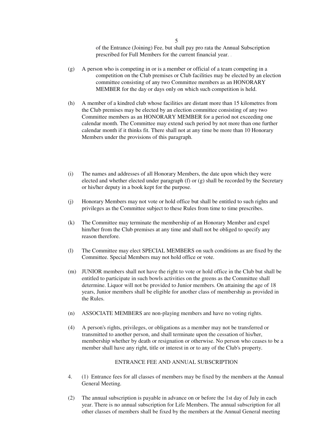of the Entrance (Joining) Fee, but shall pay pro rata the Annual Subscription prescribed for Full Members for the current financial year. .

- (g) A person who is competing in or is a member or official of a team competing in a competition on the Club premises or Club facilities may be elected by an election committee consisting of any two Committee members as an HONORARY MEMBER for the day or days only on which such competition is held.
- (h) A member of a kindred club whose facilities are distant more than 15 kilometres from the Club premises may be elected by an election committee consisting of any two Committee members as an HONORARY MEMBER for a period not exceeding one calendar month. The Committee may extend such period by not more than one further calendar month if it thinks fit. There shall not at any time be more than 10 Honorary Members under the provisions of this paragraph.
- (i) The names and addresses of all Honorary Members, the date upon which they were elected and whether elected under paragraph (f) or (g) shall be recorded by the Secretary or his/her deputy in a book kept for the purpose.
- (j) Honorary Members may not vote or hold office but shall be entitled to such rights and privileges as the Committee subject to these Rules from time to time prescribes.
- (k) The Committee may terminate the membership of an Honorary Member and expel him/her from the Club premises at any time and shall not be obliged to specify any reason therefore.
- (l) The Committee may elect SPECIAL MEMBERS on such conditions as are fixed by the Committee. Special Members may not hold office or vote.
- (m) JUNIOR members shall not have the right to vote or hold office in the Club but shall be entitled to participate in such bowls activities on the greens as the Committee shall determine. Liquor will not be provided to Junior members. On attaining the age of 18 years, Junior members shall be eligible for another class of membership as provided in the Rules.
- (n) ASSOCIATE MEMBERS are non-playing members and have no voting rights.
- (4) A person's rights, privileges, or obligations as a member may not be transferred or transmitted to another person, and shall terminate upon the cessation of his/her, membership whether by death or resignation or otherwise. No person who ceases to be a member shall have any right, title or interest in or to any of the Club's property.

#### ENTRANCE FEE AND ANNUAL SUBSCRIPTION

- 4. (1) Entrance fees for all classes of members may be fixed by the members at the Annual General Meeting.
- (2) The annual subscription is payable in advance on or before the 1st day of July in each year. There is no annual subscription for Life Members. The annual subscription for all other classes of members shall be fixed by the members at the Annual General meeting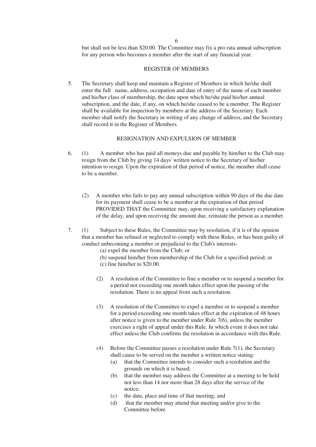but shall not be less than.\$20.00. The Committee may fix a pro rata annual subscription for any person who becomes a member after the start of any financial year.

## REGISTER OF MEMBERS

5. The Secretary shall keep and maintain a Register of Members in which he/she shall enter the full . name, address, occupation and date of entry of the name of each member and his/her class of membership, the date upon which he/she paid his/her annual subscription, and the date, if any, on which he/she ceased to be a member. The Register shall be available for inspection by members at the address of the Secretary. Each member shall notify the Secretary in writing of any change of address, and the Secretary shall record it in the Register of Members.

## RESIGNATION AND EXPULSION OF MEMBER

- 6. (1) A member who has paid all moneys due and payable by him/her to the Club may resign from the Club by giving 14 days' written notice to the Secretary of his/her intention to resign. Upon the expiration of that period of notice, the member shall cease to be a member.
	- (2) A member who fails to pay any annual subscription within 90 days of the due date for its payment shall cease to be a member at the expiration of that period PROVIDED THAT the Committee may, upon receiving a satisfactory explanation of the delay, and upon receiving the amount due, reinstate the person as a member.
- 7. (1) Subject to these Rules, the Committee may by resolution, if it is of the opinion that a member has refused or neglected to comply with these Rules, or has been guilty of conduct unbecoming a member or prejudicial to the Club's interests-

(a) expel the member from the Club; or

- (b) suspend him/her from membership of the Club for a specified period; or (c) fine him/her to \$20.00.
- (2) A resolution of the Committee to fine a member or to suspend a member for a period not exceeding one month takes effect upon the passing of the resolution. There is no appeal from such a resolution.
- (3) A resolution of the Committee to expel a member or to suspend a member for a period exceeding one month takes effect at the expiration of 48 hours after notice is given to the member under Rule 7(6), unless the member exercises a right of appeal under this Rule. In which event it does not take effect unless the Club confirms the resolution in accordance with this Rule.
- (4) Before the Committee passes a resolution under Rule 7(1), the Secretary shall cause to be served on the member a written notice stating:
	- (a) that the Committee intends to consider such a resolution and the grounds on which it is based;
	- (b) that the member may address the Committee at a meeting to be held not less than 14 nor more than 28 days after the service of the notice;
	- (c) the date, place and time of that meeting; and
	- (d) that the member may attend that meeting and/or give to the Committee before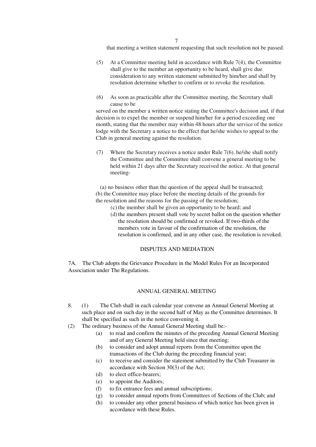that meeting a written statement requesting that such resolution not be passed.

- (5) At a Committee meeting held in accordance with Rule 7(4), the Committee shall give to the member an opportunity to be heard, shall give due consideration to any written statement submitted by him/her and shall by resolution determine whether to confirm or to revoke the resolution.
- (6) As soon as practicable after the Committee meeting, the Secretary shall cause to be

served on the member a written notice stating the Committee's decision and, if that decision is to expel the member or suspend him/her for a period exceeding one month, stating that the member may within 48 hours after the service of the notice lodge with the Secretary a notice to the effect that he/she wishes to appeal to the Club in general meeting against the resolution.

(7) Where the Secretary receives a notice under Rule 7(6). he/she shall notify the Committee and the Committee shall convene a general meeting to be held within 21 days after the Secretary received the notice. At that general meeting-

 (a) no business other than the question of the appeal shall be transacted; (b) the Committee may place before the meeting details of the grounds for the resolution and the reasons for the passing of the resolution;

- (c) the member shall be given an opportunity to be heard; and
- (d) the members present shall vote by secret ballot on the question whether the resolution should be confirmed or revoked. If two-thirds of the members vote in favour of the confirmation of the resolution, the resolution is confirmed, and in any other case, the resolution is revoked.

## DISPUTES AND MEDIATION

7A. The Club adopts the Grievance Procedure in the Model Rules For an Incorporated Association under The Regulations.

## ANNUAL GENERAL MEETING

- 8. (1) The Club shall in each calendar year convene an Annual General Meeting at such place and on such day in the second half of May as the Committee determines. It shall be specified as such in the notice convening it.
- (2) The ordinary business of the Annual General Meeting shall be:-
	- (a) to read and confirm the minutes of the preceding Annual General Meeting and of any General Meeting held since that meeting;
	- (b) to consider and adopt annual reports from the Committee upon the transactions of the Club during the preceding financial year;
	- (c) to receive and consider the statement submitted by the Club Treasurer in accordance with Section 30(3) of the Act;
	- (d) to elect office-bearers;
	- (e) to appoint the Auditors;
	- (f) to fix entrance fees and annual subscriptions;
	- (g) to consider annual reports from Committees of Sections of the Club; and
	- (h) to consider any other general business of which notice has been given in accordance with these Rules.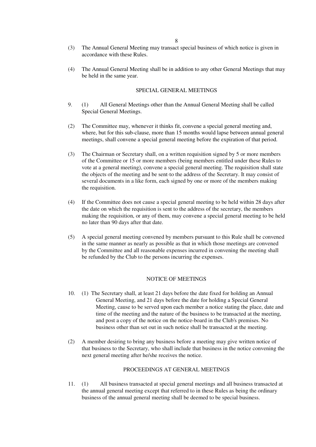- (3) The Annual General Meeting may transact special business of which notice is given in accordance with these Rules.
- (4) The Annual General Meeting shall be in addition to any other General Meetings that may be held in the same year.

## SPECIAL GENERAL MEETINGS

- 9. (1) All General Meetings other than the Annual General Meeting shall be called Special General Meetings.
- (2) The Committee may, whenever it thinks fit, convene a special general meeting and, where, but for this sub-clause, more than 15 months would lapse between annual general meetings, shall convene a special general meeting before the expiration of that period.
- (3) The Chairman or Secretary shall, on a written requisition signed by 5 or more members of the Committee or 15 or more members (being members entitled under these Rules to vote at a general meeting), convene a special general meeting. The requisition shall state the objects of the meeting and be sent-to the address of the Secretary. It may consist of several documents in a like form, each signed by one or more of the members making the requisition.
- (4) If the Committee does not cause a special general meeting to be held within 28 days after the date on which the requisition is sent to the address of the secretary, the members making the requisition, or any of them, may convene a special general meeting to be held no later than 90 days after that date.
- (5) A special general meeting convened by members pursuant to this Rule shall be convened in the same manner as nearly as possible as that in which those meetings are convened by the Committee and all reasonable expenses incurred in convening the meeting shall be refunded by the Club to the persons incurring the expenses.

#### NOTICE OF MEETINGS

- 10. (1) The Secretary shall, at least 21 days before the date fixed for holding an Annual General Meeting, and 21 days before the date for holding a Special General Meeting, cause to be served upon each member a notice stating the place, date and time of the meeting and the nature of the business to be transacted at the meeting, and post a copy of the notice on the notice-board in the Club's premises. No business other than set out in such notice shall be transacted at the meeting.
- (2) A member desiring to bring any business before a meeting may give written notice of that business to the Secretary, who shall include that business in the notice convening the next general meeting after he/she receives the notice.

## PROCEEDINGS AT GENERAL MEETINGS

11. (1) All business transacted at special general meetings and all business transacted at the annual general meeting except that referred to in these Rules as being the ordinary business of the annual general meeting shall be deemed to be special business.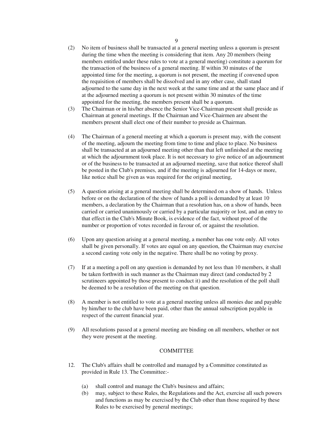- (2) No item of business shall be transacted at a general meeting unless a quorum is present during the time when the meeting is considering that item. Any 20 members (being members entitled under these rules to vote at a general meeting) constitute a quorum for the transaction of the business of a general meeting. If within 30 minutes of the appointed time for the meeting, a quorum is not present, the meeting if convened upon the requisition of members shall be dissolved and in any other case, shall stand adjourned to the same day in the next week at the same time and at the same place and if at the adjourned meeting a quorum is not present within 30 minutes of the time appointed for the meeting, the members present shall be a quorum.
- (3) The Chairman or in his/her absence the Senior Vice-Chairman present shall preside as Chairman at general meetings. If the Chairman and Vice-Chairmen are absent the members present shall elect one of their number to preside as Chairman.
- (4) The Chairman of a general meeting at which a quorum is present may, with the consent of the meeting, adjourn the meeting from time to time and place to place. No business shall be transacted at an adjourned meeting other than that left unfinished at the meeting at which the adjournment took place. It is not necessary to give notice of an adjournment or of the business to be transacted at an adjourned meeting, save that notice thereof shall be posted in the Club's premises, and if the meeting is adjourned for 14-days or more, like notice shall be given as was required for the original meeting,
- (5) A question arising at a general meeting shall be determined on a show of hands. Unless before or on the declaration of the show of hands a poll is demanded by at least 10 members, a declaration by the Chairman that a resolution has, on a show of hands, been carried or carried unanimously or carried by a particular majority or lost, and an entry to that effect in the Club's Minute Book, is evidence of the fact, without proof of the number or proportion of votes recorded in favour of, or against the resolution.
- (6) Upon any question arising at a general meeting, a member has one vote only. All votes shall be given personally. If votes are equal on any question, the Chairman may exercise a second casting vote only in the negative. There shall be no voting by proxy.
- (7) If at a meeting a poll on any question is demanded by not less than 10 members, it shall be taken forthwith in such manner as the Chairman may direct (and conducted by 2 scrutineers appointed by those present to conduct it) and the resolution of the poll shall be deemed to be a resolution of the meeting on that question.
- (8) A member is not entitled to vote at a general meeting unless all monies due and payable by him/her to the club have been paid, other than the annual subscription payable in respect of the current financial year.
- (9) All resolutions passed at a general meeting are binding on all members, whether or not they were present at the meeting.

## **COMMITTEE**

- 12. The Club's affairs shall be controlled and managed by a Committee constituted as provided in Rule 13. The Committee:-
	- (a) shall control and manage the Club's business and affairs;
	- (b) may, subject to these Rules, the Regulations and the Act, exercise all such powers and functions as may be exercised by the Club other than those required by these Rules to be exercised by general meetings;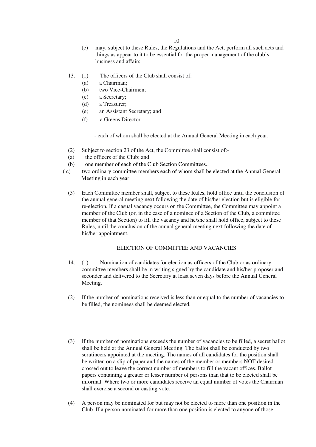- (c) may, subject to these Rules, the Regulations and the Act, perform all such acts and things as appear to it to be essential for the proper management of the club's business and affairs.
- 13. (1) The officers of the Club shall consist of:
	- (a) a Chairman;
	- (b) two Vice-Chairmen;
	- (c) a Secretary;
	- (d) a Treasurer;
	- (e) an Assistant Secretary; and
	- (f) a Greens Director.

- each of whom shall be elected at the Annual General Meeting in each year.

- (2) Subject to section 23 of the Act, the Committee shall consist of:-
- (a) the officers of the Club; and
- (b) one member of each of the Club Section Committees..
- ( c) two ordinary committee members each of whom shall be elected at the Annual General Meeting in each year.
	- (3) Each Committee member shall, subject to these Rules, hold office until the conclusion of the annual general meeting next following the date of his/her election but is eligible for re-election. If a casual vacancy occurs on the Committee, the Committee may appoint a member of the Club (or, in the case of a nominee of a Section of the Club, a committee member of that Section) to fill the vacancy and he/she shall hold office, subject to these Rules, until the conclusion of the annual general meeting next following the date of his/her appointment.

## ELECTION OF COMMITTEE AND VACANCIES

- 14. (1) Nomination of candidates for election as officers of the Club or as ordinary committee members shall be in writing signed by the candidate and his/her proposer and seconder and delivered to the Secretary at least seven days before the Annual General Meeting.
- (2) If the number of nominations received is less than or equal to the number of vacancies to be filled, the nominees shall be deemed elected.
- (3) If the number of nominations exceeds the number of vacancies to be filled, a secret ballot shall be held at the Annual General Meeting. The ballot shall be conducted by two scrutineers appointed at the meeting. The names of all candidates for the position shall be written on a slip of paper and the names of the member or members NOT desired crossed out to leave the correct number of members to fill the vacant offices. Ballot papers containing a greater or lesser number of persons than that to be elected shall be informal. Where two or more candidates receive an equal number of votes the Chairman shall exercise a second or casting vote.
- (4) A person may be nominated for but may not be elected to more than one position in the Club. If a person nominated for more than one position is elected to anyone of those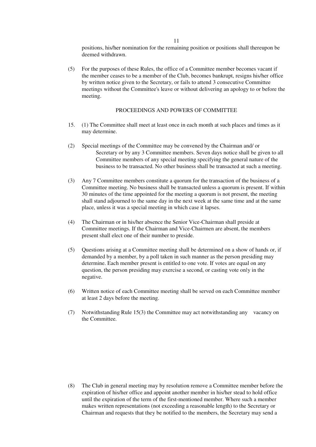positions, his/her nomination for the remaining position or positions shall thereupon be deemed withdrawn.

(5) For the purposes of these Rules, the office of a Committee member becomes vacant if the member ceases to be a member of the Club, becomes bankrupt, resigns his/her office by written notice given to the Secretary, or fails to attend 3 consecutive Committee meetings without the Committee's leave or without delivering an apology to or before the meeting.

## PROCEEDINGS AND POWERS OF COMMITTEE

- 15. (1) The Committee shall meet at least once in each month at such places and times as it may determine.
- (2) Special meetings of the Committee may be convened by the Chairman and/ or Secretary or by any 3 Committee members. Seven days notice shall be given to all Committee members of any special meeting specifying the general nature of the business to be transacted. No other business shall be transacted at such a meeting.
- (3) Any 7 Committee members constitute a quorum for the transaction of the business of a Committee meeting. No business shall be transacted unless a quorum is present. If within 30 minutes of the time appointed for the meeting a quorum is not present, the meeting shall stand adjourned to the same day in the next week at the same time and at the same place, unless it was a special meeting in which case it lapses.
- (4) The Chairman or in his/her absence the Senior Vice-Chairman shall preside at Committee meetings. If the Chairman and Vice-Chairmen are absent, the members present shall elect one of their number to preside.
- (5) Questions arising at a Committee meeting shall be determined on a show of hands or, if demanded by a member, by a poll taken in such manner as the person presiding may determine. Each member present is entitled to one vote. If votes are equal on any question, the person presiding may exercise a second, or casting vote only in the negative.
- (6) Written notice of each Committee meeting shall be served on each Committee member at least 2 days before the meeting.
- (7) Notwithstanding Rule 15(3) the Committee may act notwithstanding any vacancy on the Committee.

(8) The Club in general meeting may by resolution remove a Committee member before the expiration of his/her office and appoint another member in his/her stead to hold office until the expiration of the term of the first-mentioned member. Where such a member makes written representations (not exceeding a reasonable length) to the Secretary or Chairman and requests that they be notified to the members, the Secretary may send a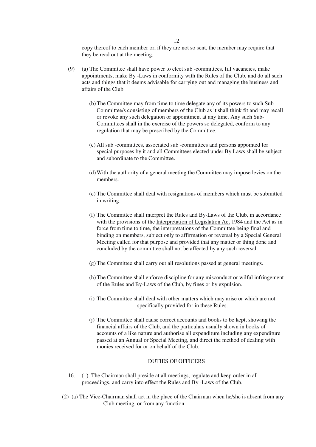copy thereof to each member or, if they are not so sent, the member may require that they be read out at the meeting.

- (9) (a) The Committee shall have power to elect sub -committees, fill vacancies, make appointments, make By -Laws in conformity with the Rules of the Club, and do all such acts and things that it deems advisable for carrying out and managing the business and affairs of the Club.
	- (b)The Committee may from time to time delegate any of its powers to such Sub Committee/s consisting of members of the Club as it shall think fit and may recall or revoke any such delegation or appointment at any time. Any such Sub-Committees shall in the exercise of the powers so delegated, conform to any regulation that may be prescribed by the Committee.
	- (c) All sub -committees, associated sub -committees and persons appointed for special purposes by it and all Committees elected under By Laws shall be subject and subordinate to the Committee.
	- (d)With the authority of a general meeting the Committee may impose levies on the members.
	- (e) The Committee shall deal with resignations of members which must be submitted in writing.
	- (f) The Committee shall interpret the Rules and By-Laws of the Club, in accordance with the provisions of the Interpretation of Legislation Act 1984 and the Act as in force from time to time, the interpretations of the Committee being final and binding on members, subject only to affirmation or reversal by a Special General Meeting called for that purpose and provided that any matter or thing done and concluded by the committee shall not be affected by any such reversal.
	- (g)The Committee shall carry out all resolutions passed at general meetings.
	- (h)The Committee shall enforce discipline for any misconduct or wilful infringement of the Rules and By-Laws of the Club, by fines or by expulsion.
	- (i) The Committee shall deal with other matters which may arise or which are not specifically provided for in these Rules.
	- (j) The Committee shall cause correct accounts and books to be kept, showing the financial affairs of the Club, and the particulars usually shown in books of accounts of a like nature and authorise all expenditure including any expenditure passed at an Annual or Special Meeting, and direct the method of dealing with monies received for or on behalf of the Club.

#### DUTIES OF OFFICERS

- 16. (1) The Chairman shall preside at all meetings, regulate and keep order in all proceedings, and carry into effect the Rules and By -Laws of the Club.
- (2) (a) The Vice-Chairman shall act in the place of the Chairman when he/she is absent from any Club meeting, or from any function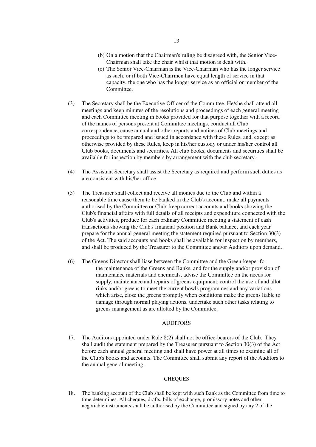- (b) On a motion that the Chairman's ruling be disagreed with, the Senior Vice-Chairman shall take the chair whilst that motion is dealt with.
- (c) The Senior Vice-Chairman is the Vice-Chairman who has the longer service as such, or if both Vice-Chairmen have equal length of service in that capacity, the one who has the longer service as an official or member of the Committee.
- (3) The Secretary shall be the Executive Officer of the Committee. He/she shall attend all meetings and keep minutes of the resolutions and proceedings of each general meeting and each Committee meeting in books provided for that purpose together with a record of the names of persons present at Committee meetings, conduct all Club correspondence, cause annual and other reports and notices of Club meetings and proceedings to be prepared and issued in accordance with these Rules, and, except as otherwise provided by these Rules, keep in his/her custody or under his/her control all Club books, documents and securities. All club books, documents and securities shall be available for inspection by members by arrangement with the club secretary.
- (4) The Assistant Secretary shall assist the Secretary as required and perform such duties as are consistent with his/her office.
- (5) The Treasurer shall collect and receive all monies due to the Club and within a reasonable time cause them to be banked in the Club's account, make all payments authorised by the Committee or Club, keep correct accounts and books showing the Club's financial affairs with full details of all receipts and expenditure connected with the Club's activities, produce for each ordinary Committee meeting a statement of cash transactions showing the Club's financial position and Bank balance, and each year prepare for the annual general meeting the statement required pursuant to Section 30(3) of the Act. The said accounts and books shall be available for inspection by members, and shall be produced by the Treasurer to the Committee and/or Auditors upon demand.
- (6) The Greens Director shall liase between the Committee and the Green-keeper for the maintenance of the Greens and Banks, and for the supply and/or provision of maintenance materials and chemicals, advise the Committee on the needs for supply, maintenance and repairs of greens equipment, control the use of and allot rinks and/or greens to meet the current bowls programmes and any variations which arise, close the greens promptly when conditions make the greens liable to damage through normal playing actions, undertake such other tasks relating to greens management as are allotted by the Committee.

## AUDITORS

17. The Auditors appointed under Rule 8(2) shall not be office-bearers of the Club. They shall audit the statement prepared by the Treasurer pursuant to Section 30(3) of the Act before each annual general meeting and shall have power at all times to examine all of the Club's books and accounts. The Committee shall submit any report of the Auditors to the annual general meeting.

#### **CHEQUES**

18. The banking account of the Club shall be kept with such Bank as the Committee from time to time determines. All cheques, drafts, bills of exchange, promissory notes and other negotiable instruments shall be authorised by the Committee and signed by any 2 of the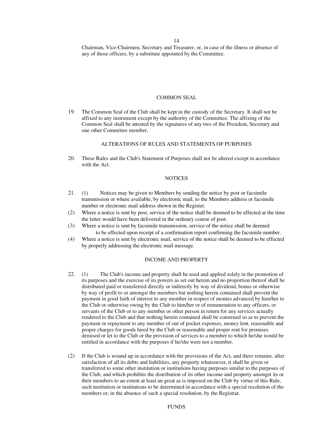14

Chairman, Vice-Chairmen, Secretary and Treasurer, or, in case of the illness or absence of any of those officers, by a substitute appointed by the Committee.

#### COMMON SEAL

19. The Common Seal of the Club shall be kept in the custody of the Secretary. It shall not be affixed to any instrument except by the authority of the Committee. The affixing of the Common Seal shall be attested by the signatures of any two of the President, Secretary and one other Committee member,

#### ALTERATIONS OF RULES AND STATEMENTS OF PURPOSES

20. These Rules and the Club's Statement of Purposes shall not be altered except in accordance with the Act.

#### **NOTICES**

- 21. (1) Notices may be given to Members by sending the notice by post or facsimile transmission or where available, by electronic mail, to the Members address or facsimile number or electronic mail address shown in the Register.
- (2) Where a notice is sent by post, service of the notice shall be deemed to be effected at the time the letter would have been delivered in the ordinary course of post.
- (3) Where a notice is sent by facsimile transmission, service of the notice shall be deemed to be effected upon receipt of a confirmation report confirming the facsimile number.
- (4) Where a notice is sent by electronic mail, service of the notice shall be deemed to be effected by properly addressing the electronic mail message.

#### INCOME AND PROPERTY

- 22. (1) The Club's income and property shall be used and applied solely in the promotion of its purposes and the exercise of its powers as set out herein and no proportion thereof shall be distributed paid or transferred directly or indirectly by way of dividend, bonus or otherwise by way of profit to or amongst the members but nothing herein contained shall prevent the payment in good faith of interest to any member in respect of monies advanced by him/her to the Club or otherwise owing by the Club to him/her or of remuneration to any officers, or servants of the Club or to any member or other person in return for any services actually rendered to the Club and that nothing herein contained shall be construed so as to prevent the payment or repayment to any member of out of pocket expenses, money lent, reasonable and proper charges for goods hired by the Club or reasonable and proper rent for premises demised or let to the Club or the provision of services to a member to which he/she would be entitled in accordance with the purposes if he/she were not a member.
- (2) If the Club is wound up in accordance with the provisions of the Act, and there remains. after satisfaction of all its debts and liabilities, any property whatsoever, it shall be given or transferred to some other institution or institutions having purposes similar to the purposes of the Club, and which prohibits the distribution of its other income and property amongst its or their members to an extent at least an great as is imposed on the Club by virtue of this Rule, such institution or institutions to be determined in accordance with a special resolution of the members or, in the absence of such a special resolution, by the Registrar.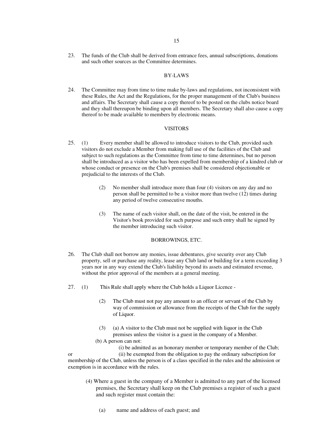23. The funds of the Club shall be derived from entrance fees, annual subscriptions, donations and such other sources as the Committee determines.

## BY-LAWS

24. The Committee may from time to time make by-laws and regulations, not inconsistent with these Rules, the Act and the Regulations, for the proper management of the Club's business and affairs. The Secretary shall cause a copy thereof to be posted on the clubs notice board and they shall thereupon be binding upon all members. The Secretary shall also cause a copy thereof to be made available to members by electronic means.

#### VISITORS

- 25. (1) Every member shall be allowed to introduce visitors to the Club, provided such visitors do not exclude a Member from making full use of the facilities of the Club and subject to such regulations as the Committee from time to time determines, but no person shall be introduced as a visitor who has been expelled from membership of a kindred club or whose conduct or presence on the Club's premises shall be considered objectionable or prejudicial to the interests of the Club.
	- (2) No member shall introduce more than four (4) visitors on any day and no person shall be permitted to be a visitor more than twelve (12) times during any period of twelve consecutive mouths.
	- (3) The name of each visitor shall, on the date of the visit, be entered in the Visitor's book provided for such purpose and such entry shall he signed by the member introducing such visitor.

#### BORROWINGS, ETC.

- 26. The Club shall not borrow any monies, issue debentures, give security over any Club property, sell or purchase any reality, lease any Club land or building for a term exceeding 3 years nor in any way extend the Club's liability beyond its assets and estimated revenue, without the prior approval of the members at a general meeting.
- 27. (1) This Rule shall apply where the Club holds a Liquor Licence
	- (2) The Club must not pay any amount to an officer or servant of the Club by way of commission or allowance from the receipts of the Club for the supply of Liquor.
	- (3) (a) A visitor to the Club must not be supplied with liquor in the Club premises unless the visitor is a guest in the company of a Member.
	- (b) A person can not:

 (i) be admitted as an honorary member or temporary member of the Club; or (ii) be exempted from the obligation to pay the ordinary subscription for membership of the Club, unless the person is of a class specified in the rules and the admission or exemption is in accordance with the rules.

- (4) Where a guest in the company of a Member is admitted to any part of the licensed premises, the Secretary shall keep on the Club premises a register of such a guest and such register must contain the:
	- (a) name and address of each guest; and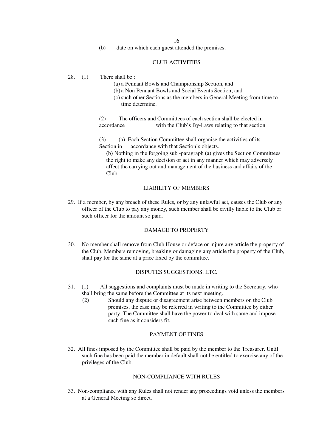16

(b) date on which each guest attended the premises.

# CLUB ACTIVITIES

28. (1) There shall be :

- (a) a Pennant Bowls and Championship Section, and
- (b) a Non Pennant Bowls and Social Events Section; and
- (c) such other Sections as the members in General Meeting from time to time determine.

(2) The officers and Committees of each section shall be elected in accordance with the Club's By-Laws relating to that section

(3) (a) Each Section Committee shall organise the activities of its Section in accordance with that Section's objects.

 (b) Nothing in the forgoing sub -paragraph (a) gives the Section Committees the right to make any decision or act in any manner which may adversely affect the carrying out and management of the business and affairs of the Club.

#### LIABILITY OF MEMBERS

29. If a member, by any breach of these Rules, or by any unlawful act, causes the Club or any officer of the Club to pay any money, such member shall be civilly liable to the Club or such officer for the amount so paid.

## DAMAGE TO PROPERTY

30. No member shall remove from Club House or deface or injure any article the property of the Club. Members removing, breaking or damaging any article the property of the Club, shall pay for the same at a price fixed by the committee.

## DISPUTES SUGGESTIONS, ETC.

- 31. (1) All suggestions and complaints must be made in writing to the Secretary, who shall bring the same before the Committee at its next meeting.
	- (2) Should any dispute or disagreement arise between members on the Club premises, the case may be referred in writing to the Committee by either party. The Committee shall have the power to deal with same and impose such fine as it considers fit.

## PAYMENT OF FINES

32. All fines imposed by the Committee shall be paid by the member to the Treasurer. Until such fine has been paid the member in default shall not be entitled to exercise any of the privileges of the Club.

## NON-COMPLIANCE WITH RULES

33. Non-compliance with any Rules shall not render any proceedings void unless the members at a General Meeting so direct.